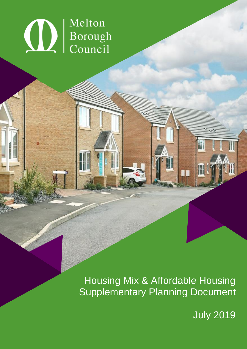# **OD** Borough

Housing Mix & Affordable Housing Supplementary Planning Document

July 2019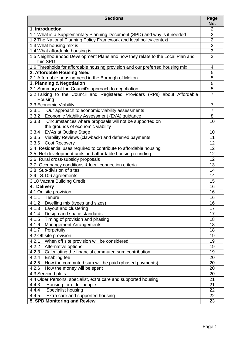| <b>Sections</b>                                                               | Page<br>No.    |
|-------------------------------------------------------------------------------|----------------|
| 1. Introduction                                                               | $\overline{2}$ |
| 1.1 What is a Supplementary Planning Document (SPD) and why is it needed      | $\overline{2}$ |
| 1.2 The National Planning Policy Framework and local policy context           | $\overline{2}$ |
| 1.3 What housing mix is                                                       | $\overline{2}$ |
| 1.4 What affordable housing is                                                | 3              |
| 1.5 Neighbourhood Development Plans and how they relate to the Local Plan and | 3              |
| this SPD                                                                      |                |
| 1.6 Thresholds for affordable housing provision and our preferred housing mix | 4              |
| 2. Affordable Housing Need                                                    | 5              |
| 2.1 Affordable housing need in the Borough of Melton                          | 5              |
| 3. Planning & Negotiation                                                     | 5              |
| 3.1 Summary of the Council's approach to negotiation                          | $\overline{5}$ |
| 3.2 Talking to the Council and Registered Providers (RPs) about Affordable    | $\overline{7}$ |
| Housing                                                                       |                |
| 3.3 Economic Viability                                                        | $\overline{7}$ |
| 3.3.1 Our approach to economic viability assessments                          | $\overline{7}$ |
| 3.3.2 Economic Viability Assessment (EVA) guidance                            | 8              |
| 3.3.3<br>Circumstances where proposals will not be supported on               | 10             |
| the grounds of economic viability                                             |                |
| 3.3.4 EVAs at Outline Stage                                                   | 10             |
| 3.3.5 Viability Reviews (clawback) and deferred payments                      | 11             |
| 3.3.6 Cost Recovery                                                           | 12             |
| 3.4 Residential uses required to contribute to affordable housing             | 12             |
| 3.5 Net development units and affordable housing rounding                     | 12             |
| 3.6 Rural cross-subsidy proposals                                             | 12             |
| 3.7 Occupancy conditions & local connection criteria                          | 13             |
| 3.8 Sub-division of sites                                                     | 14             |
| 3.9 S.106 agreements                                                          | 14             |
| 3.10 Vacant Building Credit                                                   | 15             |
| 4. Delivery                                                                   | 16             |
| 4.1 On site provision                                                         | 16             |
| 4.1.1 Tenure                                                                  | 16             |
| 4.1.2<br>Dwelling mix (types and sizes)                                       | 16             |
| Layout and clustering<br>4.1.3                                                | 17             |
| Design and space standards<br>4.1.4                                           | 17             |
| Timing of provision and phasing<br>4.1.5                                      | 18             |
| <b>Management Arrangements</b><br>4.1.6                                       | 18             |
| 4.1.7<br>Perpetuity                                                           | 18             |
| 4.2 Off site provision                                                        | 19             |
| When off site provision will be considered<br>4.2.1                           | 19             |
| 4.2.2<br>Alternative options                                                  | 19             |
| 4.2.3<br>Calculating the financial commuted sum contribution                  | 19             |
| 4.2.4<br>Enabling fee                                                         | 20             |
| 4.2.5<br>How the commuted sum will be paid (phased payments)                  | 20             |
| 4.2.6<br>How the money will be spent                                          | 20             |
| 4.3 Serviced plots                                                            | 20             |
| 4.4 Older Persons, specialist, extra care and supported housing               | 21             |
| 4.4.3<br>Housing for older people                                             | 21             |
| 4.4.4<br>Specialist housing                                                   | 22             |
| 4.4.5<br>Extra care and supported housing                                     | 22             |
| 5. SPD Monitoring and Review                                                  | 23             |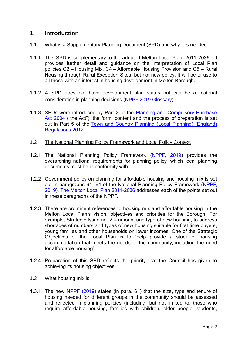# **1. Introduction**

#### 1.1 What is a Supplementary Planning Document (SPD) and why it is needed

- 1.1.1 This SPD is supplementary to the adopted Melton Local Plan, 2011-2036. It provides further detail and guidance on the interpretation of Local Plan policies C2 – Housing Mix, C4 – Affordable Housing Provision and C5 – Rural Housing through Rural Exception Sites, but not new policy. It will be of use to all those with an interest in housing development in Melton Borough.
- 1.1.2 A SPD does not have development plan status but can be a material consideration in planning decisions [\(NPPF 2019](https://assets.publishing.service.gov.uk/government/uploads/system/uploads/attachment_data/file/807247/NPPF_Feb_2019_revised.pdf) Glossary).
- 1.1.3 SPDs were introduced by Part 2 of the [Planning and Compulsory Purchase](https://www.legislation.gov.uk/ukpga/2004/5/contents)  [Act 2004](https://www.legislation.gov.uk/ukpga/2004/5/contents) ("the Act"); the form, content and the process of preparation is set out in Part 5 of the [Town and Country Planning \(Local Planning\) \(England\)](http://www.legislation.gov.uk/uksi/2012/767/contents/made)  [Regulations 2012.](http://www.legislation.gov.uk/uksi/2012/767/contents/made)

#### 1.2 The National Planning Policy Framework and Local Policy Context

- 1.2.1 The National Planning Policy Framework [\(NPPF, 2019\)](https://assets.publishing.service.gov.uk/government/uploads/system/uploads/attachment_data/file/807247/NPPF_Feb_2019_revised.pdf) provides the overarching national requirements for planning policy, which local planning documents must be in conformity with.
- 1.2.2 Government policy on planning for affordable housing and housing mix is set out in paragraphs 61 -64 of the National Planning Policy Framework [\(NPPF,](https://assets.publishing.service.gov.uk/government/uploads/system/uploads/attachment_data/file/807247/NPPF_Feb_2019_revised.pdf)  [2019\)](https://assets.publishing.service.gov.uk/government/uploads/system/uploads/attachment_data/file/807247/NPPF_Feb_2019_revised.pdf). [The Melton Local Plan 2011-2036](https://www.meltonplan.co.uk/adoptedplan) addresses each of the points set out in these paragraphs of the NPPF.
- 1.2.3 There are prominent references to housing mix and affordable housing in the Melton Local Plan's vision, objectives and priorities for the Borough. For example, Strategic Issue no. 2 – amount and type of new housing, to address shortages of numbers and types of new housing suitable for first time buyers, young families and other households on lower incomes. One of the Strategic Objectives of the Local Plan is to "help provide a stock of housing accommodation that meets the needs of the community, including the need for affordable housing".
- 1.2.4 Preparation of this SPD reflects the priority that the Council has given to achieving its housing objectives.
- 1.3 What housing mix is
- 1.3.1 The new [NPPF \(2019\)](https://www.gov.uk/government/publications/national-planning-policy-framework--2) states (in para. 61) that the size, type and tenure of housing needed for different groups in the community should be assessed and reflected in planning policies (including, but not limited to, those who require affordable housing, families with children, older people, students,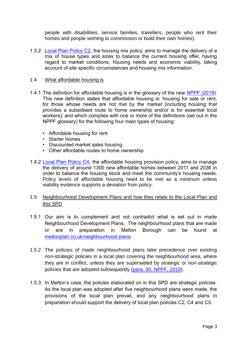people with disabilities, service families, travellers, people who rent their homes and people wishing to commission or build their own homes).

1.3.2 [Local Plan Policy C2,](https://www.meltonplan.co.uk/c2) the housing mix policy, aims to manage the delivery of a mix of house types and sizes to balance the current housing offer, having regard to market conditions, housing needs and economic viability, taking account of site specific circumstances and housing mix information.

#### 1.4 What affordable housing is

- 1.4.1 The definition for affordable housing is in the glossary of the new [NPPF \(2019\)](https://www.gov.uk/government/publications/national-planning-policy-framework--2). This new definition states that affordable housing is: housing for sale or rent, for those whose needs are not met by the market (including housing that provides a subsidised route to home ownership and/or is for essential local workers); and which complies with one or more of the definitions (set out in the NPPF glossary) for the following four main types of housing:
	- Affordable housing for rent
	- Starter homes
	- Discounted market sales housing
	- Other affordable routes to home ownership
- 1.4.2 [Local Plan Policy C4,](https://www.meltonplan.co.uk/c4) the affordable housing provision policy, aims to manage the delivery of around 1300 new affordable homes between 2011 and 2036 in order to balance the housing stock and meet the community's housing needs. Policy levels of affordable housing need to be met as a minimum unless viability evidence supports a deviation from policy.

#### 1.5 Neighbourhood Development Plans and how they relate to the Local Plan and this SPD

- 1.5.1 Our aim is to complement and not contradict what is set out in made Neighbourhood Development Plans. The neighbourhood plans that are made or are in preparation in Melton Borough can be found at [meltonplan.co.uk/neighbourhood-plans.](https://www.meltonplan.co.uk/neighbourhood-plans)
- 1.5.2 The policies of made neighbourhood plans take precedence over existing non-strategic policies in a local plan covering the neighbourhood area, where they are in conflict, unless they are superseded by strategic or non-strategic policies that are adopted subsequently [\(para. 30, NPPF, 2019\)](https://assets.publishing.service.gov.uk/government/uploads/system/uploads/attachment_data/file/807247/NPPF_Feb_2019_revised.pdf).
- 1.5.3 In Melton's case, the policies elaborated on in this SPD are strategic policies. As the local plan was adopted after five neighbourhood plans were made, the provisions of the local plan prevail, and any neighbourhood plans in preparation should support the delivery of local plan policies C2, C4 and C5.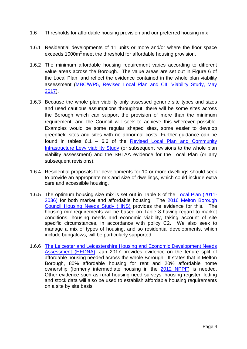#### 1.6 Thresholds for affordable housing provision and our preferred housing mix

- 1.6.1 Residential developments of 11 units or more and/or where the floor space exceeds 1000m<sup>2</sup> meet the threshold for affordable housing provision.
- 1.6.2 The minimum affordable housing requirement varies according to different value areas across the Borough. The value areas are set out in Figure 6 of the Local Plan, and reflect the evidence contained in the whole plan viability assessment [\(MBC/WP5, Revised Local Plan and CIL Viability Study, May](https://docs.wixstatic.com/ugd/d246bd_e40b14c357644f1b8a7887577953b2a2.pdf)  [2017\)](https://docs.wixstatic.com/ugd/d246bd_e40b14c357644f1b8a7887577953b2a2.pdf).
- 1.6.3 Because the whole plan viability only assessed generic site types and sizes and used cautious assumptions throughout, there will be some sites across the Borough which can support the provision of more than the minimum requirement, and the Council will seek to achieve this wherever possible. Examples would be some regular shaped sites, some easier to develop greenfield sites and sites with no abnormal costs. Further guidance can be found in tables 6.1 – 6.6 of the [Revised Local Plan and Community](https://docs.wixstatic.com/ugd/d246bd_e40b14c357644f1b8a7887577953b2a2.pdf)  [Infrastructure Levy viability Study](https://docs.wixstatic.com/ugd/d246bd_e40b14c357644f1b8a7887577953b2a2.pdf) (or subsequent revisions to the whole plan viability assessment) and the SHLAA evidence for the Local Plan (or any subsequent revisions).
- 1.6.4 Residential proposals for developments for 10 or more dwellings should seek to provide an appropriate mix and size of dwellings, which could include extra care and accessible housing.
- 1.6.5 The optimum housing size mix is set out in Table 8 of the [Local Plan \(2011-](https://docs.wixstatic.com/ugd/2778e0_865e0289bce64d46932c93247b3f2d6c.pdf) [2036\)](https://docs.wixstatic.com/ugd/2778e0_865e0289bce64d46932c93247b3f2d6c.pdf) for both market and affordable housing. The [2016 Melton Borough](https://docs.wixstatic.com/ugd/d246bd_bc5be47bc51f463794aea7d92d6206ac.pdf)  [Council Housing Needs Study \(HNS\)](https://docs.wixstatic.com/ugd/d246bd_bc5be47bc51f463794aea7d92d6206ac.pdf) provides the evidence for this. The housing mix requirements will be based on Table 8 having regard to market conditions, housing needs and economic viability, taking account of site specific circumstances, in accordance with policy C2. We also seek to manage a mix of types of housing, and so residential developments, which include bungalows, will be particularly supported.
- 1.6.6 [The Leicester and Leicestershire Housing and Economic Development Needs](https://docs.wixstatic.com/ugd/d246bd_fcf0b00c54f8428a919577e9042f3e8a.pdf)  [Assessment \(HEDNA\),](https://docs.wixstatic.com/ugd/d246bd_fcf0b00c54f8428a919577e9042f3e8a.pdf) Jan 2017 provides evidence on the tenure split of affordable housing needed across the whole Borough. It states that in Melton Borough, 80% affordable housing for rent and 20% affordable home ownership (formerly intermediate housing in the [2012 NPPF\)](https://webarchive.nationalarchives.gov.uk/20180608095821/https:/www.gov.uk/government/publications/national-planning-policy-framework--2) is needed. Other evidence such as rural housing need surveys; housing register, letting and stock data will also be used to establish affordable housing requirements on a site by site basis.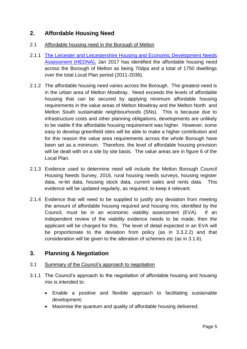# **2. Affordable Housing Need**

- 2.1 Affordable housing need in the Borough of Melton
- 2.1.1 [The Leicester and Leicestershire Housing and Economic Development Needs](https://docs.wixstatic.com/ugd/d246bd_fcf0b00c54f8428a919577e9042f3e8a.pdf)  [Assessment \(HEDNA\),](https://docs.wixstatic.com/ugd/d246bd_fcf0b00c54f8428a919577e9042f3e8a.pdf) Jan 2017 has identified the affordable housing need across the Borough of Melton as being 70dpa and a total of 1750 dwellings over the total Local Plan period (2011-2036).
- 2.1.2 The affordable housing need varies across the Borough. The greatest need is in the urban area of Melton Mowbray. Need exceeds the levels of affordable housing that can be secured by applying minimum affordable housing requirements in the value areas of Melton Mowbray and the Melton North and Melton South sustainable neighbourhoods (SNs). This is because due to infrastructure costs and other planning obligations, developments are unlikely to be viable if the affordable housing requirement was higher. However, some easy to develop greenfield sites will be able to make a higher contribution and for this reason the value area requirements across the whole Borough have been set as a minimum. Therefore, the level of affordable housing provision will be dealt with on a site by site basis. The value areas are in figure 6 of the Local Plan.
- 2.1.3 Evidence used to determine need will include the Melton Borough Council Housing Needs Survey, 2016, rural housing needs surveys, housing register data, re-let data, housing stock data, current sales and rents data. This evidence will be updated regularly, as required, to keep it relevant.
- 2.1.4 Evidence that will need to be supplied to justify any deviation from meeting the amount of affordable housing required and housing mix, identified by the Council, must be in an economic viability assessment (EVA). If an independent review of the viability evidence needs to be made, then the applicant will be charged for this. The level of detail expected in an EVA will be proportionate to the deviation from policy (as in 3.3.2.2) and that consideration will be given to the alteration of schemes etc (as in 3.1.6).

# **3. Planning & Negotiation**

#### 3.1 Summary of the Council's approach to negotiation

- 3.1.1 The Council's approach to the negotiation of affordable housing and housing mix is intended to:
	- Enable a positive and flexible approach to facilitating sustainable development;
	- Maximise the quantum and quality of affordable housing delivered;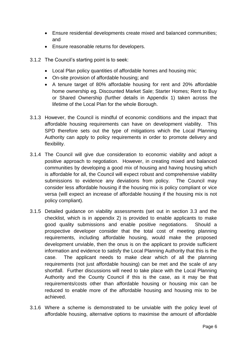- Ensure residential developments create mixed and balanced communities; and
- Ensure reasonable returns for developers.
- 3.1.2 The Council's starting point is to seek:
	- Local Plan policy quantities of affordable homes and housing mix;
	- On-site provision of affordable housing; and
	- A tenure target of 80% affordable housing for rent and 20% affordable home ownership eg. Discounted Market Sale; Starter Homes; Rent to Buy or Shared Ownership (further details in Appendix 1) taken across the lifetime of the Local Plan for the whole Borough.
- 3.1.3 However, the Council is mindful of economic conditions and the impact that affordable housing requirements can have on development viability. This SPD therefore sets out the type of mitigations which the Local Planning Authority can apply to policy requirements in order to promote delivery and flexibility.
- 3.1.4 The Council will give due consideration to economic viability and adopt a positive approach to negotiation. However, in creating mixed and balanced communities by developing a good mix of housing and having housing which is affordable for all, the Council will expect robust and comprehensive viability submissions to evidence any deviations from policy. The Council may consider less affordable housing if the housing mix is policy compliant or vice versa (will expect an increase of affordable housing if the housing mix is not policy compliant).
- 3.1.5 Detailed guidance on viability assessments (set out in section 3.3 and the checklist, which is in appendix 2) is provided to enable applicants to make good quality submissions and enable positive negotiations. Should a prospective developer consider that the total cost of meeting planning requirements, including affordable housing, would make the proposed development unviable, then the onus is on the applicant to provide sufficient information and evidence to satisfy the Local Planning Authority that this is the case. The applicant needs to make clear which of all the planning requirements (not just affordable housing) can be met and the scale of any shortfall. Further discussions will need to take place with the Local Planning Authority and the County Council if this is the case, as it may be that requirements/costs other than affordable housing or housing mix can be reduced to enable more of the affordable housing and housing mix to be achieved.
- 3.1.6 Where a scheme is demonstrated to be unviable with the policy level of affordable housing, alternative options to maximise the amount of affordable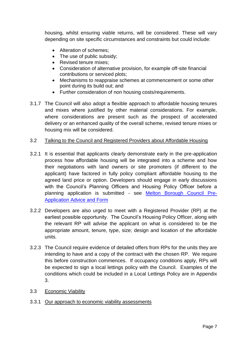housing, whilst ensuring viable returns, will be considered. These will vary depending on site specific circumstances and constraints but could include:

- Alteration of schemes;
- The use of public subsidy;
- Revised tenure mixes:
- Consideration of alternative provision, for example off-site financial contributions or serviced plots;
- Mechanisms to reappraise schemes at commencement or some other point during its build out; and
- Further consideration of non housing costs/requirements.
- 3.1.7 The Council will also adopt a flexible approach to affordable housing tenures and mixes where justified by other material considerations. For example, where considerations are present such as the prospect of accelerated delivery or an enhanced quality of the overall scheme, revised tenure mixes or housing mix will be considered.

#### 3.2 Talking to the Council and Registered Providers about Affordable Housing

- 3.2.1 It is essential that applicants clearly demonstrate early in the pre-application process how affordable housing will be integrated into a scheme and how their negotiations with land owners or site promoters (if different to the applicant) have factored in fully policy compliant affordable housing to the agreed land price or option. Developers should engage in early discussions with the Council's Planning Officers and Housing Policy Officer before a planning application is submitted - see [Melton Borough Council Pre-](http://www.melton.gov.uk/info/200337/planning/432/pre-application_advice)[Application Advice and Form](http://www.melton.gov.uk/info/200337/planning/432/pre-application_advice)
- 3.2.2 Developers are also urged to meet with a Registered Provider (RP) at the earliest possible opportunity. The Council's Housing Policy Officer, along with the relevant RP will advise the applicant on what is considered to be the appropriate amount, tenure, type, size; design and location of the affordable units.
- 3.2.3 The Council require evidence of detailed offers from RPs for the units they are intending to have and a copy of the contract with the chosen RP. We require this before construction commences. If occupancy conditions apply, RPs will be expected to sign a local lettings policy with the Council. Examples of the conditions which could be included in a Local Lettings Policy are in Appendix 3.
- 3.3 Economic Viability
- 3.3.1 Our approach to economic viability assessments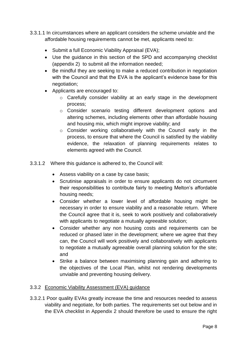- 3.3.1.1 In circumstances where an applicant considers the scheme unviable and the affordable housing requirements cannot be met, applicants need to:
	- Submit a full Economic Viability Appraisal (EVA);
	- Use the guidance in this section of the SPD and accompanying checklist (appendix 2) to submit all the information needed;
	- Be mindful they are seeking to make a reduced contribution in negotiation with the Council and that the EVA is the applicant's evidence base for this negotiation;
	- Applicants are encouraged to:
		- o Carefully consider viability at an early stage in the development process;
		- o Consider scenario testing different development options and altering schemes, including elements other than affordable housing and housing mix, which might improve viability; and
		- o Consider working collaboratively with the Council early in the process, to ensure that where the Council is satisfied by the viability evidence, the relaxation of planning requirements relates to elements agreed with the Council.
- 3.3.1.2 Where this guidance is adhered to, the Council will:
	- Assess viability on a case by case basis;
	- Scrutinise appraisals in order to ensure applicants do not circumvent their responsibilities to contribute fairly to meeting Melton's affordable housing needs;
	- Consider whether a lower level of affordable housing might be necessary in order to ensure viability and a reasonable return. Where the Council agree that it is, seek to work positively and collaboratively with applicants to negotiate a mutually agreeable solution;
	- Consider whether any non housing costs and requirements can be reduced or phased later in the development; where we agree that they can, the Council will work positively and collaboratively with applicants to negotiate a mutually agreeable overall planning solution for the site; and
	- Strike a balance between maximising planning gain and adhering to the objectives of the Local Plan, whilst not rendering developments unviable and preventing housing delivery.

#### 3.3.2 Economic Viability Assessment (EVA) guidance

3.3.2.1 Poor quality EVAs greatly increase the time and resources needed to assess viability and negotiate, for both parties. The requirements set out below and in the EVA checklist in Appendix 2 should therefore be used to ensure the right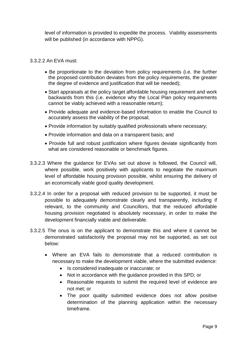level of information is provided to expedite the process. Viability assessments will be published (in accordance with NPPG).

#### 3.3.2.2 An EVA must:

- Be proportionate to the deviation from policy requirements (i.e. the further the proposed contribution deviates from the policy requirements, the greater the degree of evidence and justification that will be needed);
- Start appraisals at the policy target affordable housing requirement and work backwards from this (i.e. evidence why the Local Plan policy requirements cannot be viably achieved with a reasonable return);
- Provide adequate and evidence-based information to enable the Council to accurately assess the viability of the proposal;
- Provide information by suitably qualified professionals where necessary;
- Provide information and data on a transparent basis; and
- Provide full and robust justification where figures deviate significantly from what are considered reasonable or benchmark figures.
- 3.3.2.3 Where the guidance for EVAs set out above is followed, the Council will, where possible, work positively with applicants to negotiate the maximum level of affordable housing provision possible, whilst ensuring the delivery of an economically viable good quality development.
- 3.3.2.4 In order for a proposal with reduced provision to be supported, it must be possible to adequately demonstrate clearly and transparently, including if relevant, to the community and Councillors, that the reduced affordable housing provision negotiated is absolutely necessary, in order to make the development financially viable and deliverable.
- 3.3.2.5 The onus is on the applicant to demonstrate this and where it cannot be demonstrated satisfactorily the proposal may not be supported, as set out below:
	- Where an EVA fails to demonstrate that a reduced contribution is necessary to make the development viable, where the submitted evidence:
		- Is considered inadequate or inaccurate; or
		- Not in accordance with the quidance provided in this SPD; or
		- Reasonable requests to submit the required level of evidence are not met; or
		- The poor quality submitted evidence does not allow positive determination of the planning application within the necessary timeframe.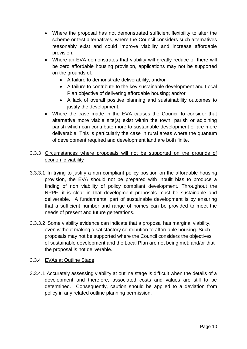- Where the proposal has not demonstrated sufficient flexibility to alter the scheme or test alternatives, where the Council considers such alternatives reasonably exist and could improve viability and increase affordable provision.
- Where an EVA demonstrates that viability will greatly reduce or there will be zero affordable housing provision, applications may not be supported on the grounds of:
	- A failure to demonstrate deliverability; and/or
	- A failure to contribute to the key sustainable development and Local Plan objective of delivering affordable housing; and/or
	- A lack of overall positive planning and sustainability outcomes to justify the development.
- Where the case made in the EVA causes the Council to consider that alternative more viable site(s) exist within the town, parish or adjoining parish which can contribute more to sustainable development or are more deliverable. This is particularly the case in rural areas where the quantum of development required and development land are both finite.

#### 3.3.3 Circumstances where proposals will not be supported on the grounds of economic viability

- 3.3.3.1 In trying to justify a non compliant policy position on the affordable housing provision, the EVA should not be prepared with inbuilt bias to produce a finding of non viability of policy compliant development. Throughout the NPPF, it is clear in that development proposals must be sustainable and deliverable. A fundamental part of sustainable development is by ensuring that a sufficient number and range of homes can be provided to meet the needs of present and future generations.
- 3.3.3.2 Some viability evidence can indicate that a proposal has marginal viability, even without making a satisfactory contribution to affordable housing. Such proposals may not be supported where the Council considers the objectives of sustainable development and the Local Plan are not being met; and/or that the proposal is not deliverable.

#### 3.3.4 EVAs at Outline Stage

3.3.4.1 Accurately assessing viability at outline stage is difficult when the details of a development and therefore, associated costs and values are still to be determined. Consequently, caution should be applied to a deviation from policy in any related outline planning permission.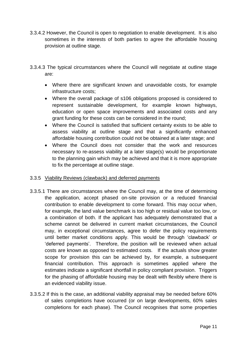- 3.3.4.2 However, the Council is open to negotiation to enable development. It is also sometimes in the interests of both parties to agree the affordable housing provision at outline stage.
- 3.3.4.3 The typical circumstances where the Council will negotiate at outline stage are:
	- Where there are significant known and unavoidable costs, for example infrastructure costs;
	- Where the overall package of s106 obligations proposed is considered to represent sustainable development, for example known highways, education or open space improvements and associated costs and any grant funding for these costs can be considered in the round;
	- Where the Council is satisfied that sufficient certainty exists to be able to assess viability at outline stage and that a significantly enhanced affordable housing contribution could not be obtained at a later stage; and
	- Where the Council does not consider that the work and resources necessary to re-assess viability at a later stage(s) would be proportionate to the planning gain which may be achieved and that it is more appropriate to fix the percentage at outline stage.

#### 3.3.5 Viability Reviews (clawback) and deferred payments

- 3.3.5.1 There are circumstances where the Council may, at the time of determining the application, accept phased on-site provision or a reduced financial contribution to enable development to come forward. This may occur when, for example, the land value benchmark is too high or residual value too low, or a combination of both. If the applicant has adequately demonstrated that a scheme cannot be delivered in current market circumstances, the Council may, in exceptional circumstances, agree to defer the policy requirements until better market conditions apply. This would be through 'clawback' or 'deferred payments'. Therefore, the position will be reviewed when actual costs are known as opposed to estimated costs. If the actuals show greater scope for provision this can be achieved by, for example, a subsequent financial contribution. This approach is sometimes applied where the estimates indicate a significant shortfall in policy compliant provision. Triggers for the phasing of affordable housing may be dealt with flexibly where there is an evidenced viability issue.
- 3.3.5.2 If this is the case, an additional viability appraisal may be needed before 60% of sales completions have occurred (or on large developments, 60% sales completions for each phase). The Council recognises that some properties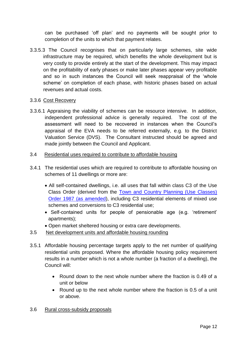can be purchased 'off plan' and no payments will be sought prior to completion of the units to which that payment relates.

3.3.5.3 The Council recognises that on particularly large schemes, site wide infrastructure may be required, which benefits the whole development but is very costly to provide entirely at the start of the development. This may impact on the profitability of early phases or make later phases appear very profitable and so in such instances the Council will seek reappraisal of the 'whole scheme' on completion of each phase, with historic phases based on actual revenues and actual costs.

#### 3.3.6 Cost Recovery

3.3.6.1 Appraising the viability of schemes can be resource intensive. In addition, independent professional advice is generally required. The cost of the assessment will need to be recovered in instances when the Council's appraisal of the EVA needs to be referred externally, e.g. to the District Valuation Service (DVS). The Consultant instructed should be agreed and made jointly between the Council and Applicant.

#### 3.4 Residential uses required to contribute to affordable housing

- 3.4.1 The residential uses which are required to contribute to affordable housing on schemes of 11 dwellings or more are:
	- All self-contained dwellings, i.e. all uses that fall within class C3 of the Use Class Order (derived from the Town and Country Planning (Use Classes) [Order 1987 \(as amended\)](http://www.legislation.gov.uk/wsi/2016/28/contents/made), including C3 residential elements of mixed use schemes and conversions to C3 residential use;
	- Self-contained units for people of pensionable age (e.g. 'retirement' apartments);
	- Open market sheltered housing or extra care developments.
- 3.5 Net development units and affordable housing rounding
- 3.5.1 Affordable housing percentage targets apply to the net number of qualifying residential units proposed. Where the affordable housing policy requirement results in a number which is not a whole number (a fraction of a dwelling), the Council will:
	- Round down to the next whole number where the fraction is 0.49 of a unit or below
	- Round up to the next whole number where the fraction is 0.5 of a unit or above.

#### 3.6 Rural cross-subsidy proposals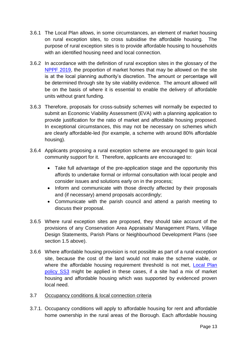- 3.6.1 The Local Plan allows, in some circumstances, an element of market housing on rural exception sites, to cross subsidise the affordable housing. The purpose of rural exception sites is to provide affordable housing to households with an identified housing need and local connection.
- 3.6.2 In accordance with the definition of rural exception sites in the glossary of the [NPPF 2019,](https://www.gov.uk/government/publications/national-planning-policy-framework--2) the proportion of market homes that may be allowed on the site is at the local planning authority's discretion. The amount or percentage will be determined through site by site viability evidence. The amount allowed will be on the basis of where it is essential to enable the delivery of affordable units without grant funding.
- 3.6.3 Therefore, proposals for cross-subsidy schemes will normally be expected to submit an Economic Viability Assessment (EVA) with a planning application to provide justification for the ratio of market and affordable housing proposed. In exceptional circumstances, this may not be necessary on schemes which are clearly affordable-led (for example, a scheme with around 80% affordable housing).
- 3.6.4 Applicants proposing a rural exception scheme are encouraged to gain local community support for it. Therefore, applicants are encouraged to:
	- Take full advantage of the pre-application stage and the opportunity this affords to undertake formal or informal consultation with local people and consider issues and solutions early on in the process;
	- Inform and communicate with those directly affected by their proposals and (if necessary) amend proposals accordingly;
	- Communicate with the parish council and attend a parish meeting to discuss their proposal.
- 3.6.5 Where rural exception sites are proposed, they should take account of the provisions of any Conservation Area Appraisals/ Management Plans, Village Design Statements, Parish Plans or Neighbourhood Development Plans (see section 1.5 above).
- 3.6.6 Where affordable housing provision is not possible as part of a rural exception site, because the cost of the land would not make the scheme viable, or where the affordable housing requirement threshold is not met, Local Plan [policy SS3](https://www.meltonplan.co.uk/ss3) might be applied in these cases, if a site had a mix of market housing and affordable housing which was supported by evidenced proven local need.
- 3.7 Occupancy conditions & local connection criteria
- 3.7.1. Occupancy conditions will apply to affordable housing for rent and affordable home ownership in the rural areas of the Borough. Each affordable housing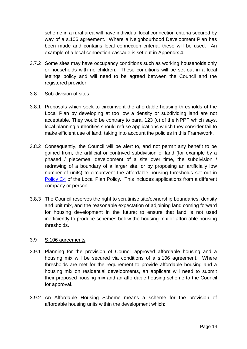scheme in a rural area will have individual local connection criteria secured by way of a s.106 agreement. Where a Neighbourhood Development Plan has been made and contains local connection criteria, these will be used. An example of a local connection cascade is set out in Appendix 4.

3.7.2 Some sites may have occupancy conditions such as working households only or households with no children. These conditions will be set out in a local lettings policy and will need to be agreed between the Council and the registered provider.

#### 3.8 Sub-division of sites

- 3.8.1 Proposals which seek to circumvent the affordable housing thresholds of the Local Plan by developing at too low a density or subdividing land are not acceptable. They would be contrary to para. 123 (c) of the NPPF which says, local planning authorities should refuse applications which they consider fail to make efficient use of land, taking into account the policies in this Framework.
- 3.8.2 Consequently, the Council will be alert to, and not permit any benefit to be gained from, the artificial or contrived subdivision of land (for example by a phased / piecemeal development of a site over time, the subdivision / redrawing of a boundary of a larger site, or by proposing an artificially low number of units) to circumvent the affordable housing thresholds set out in [Policy C4](https://www.meltonplan.co.uk/c4) of the Local Plan Policy. This includes applications from a different company or person.
- 3.8.3 The Council reserves the right to scrutinise site/ownership boundaries, density and unit mix, and the reasonable expectation of adjoining land coming forward for housing development in the future; to ensure that land is not used inefficiently to produce schemes below the housing mix or affordable housing thresholds.

#### 3.9 S.106 agreements

- 3.9.1 Planning for the provision of Council approved affordable housing and a housing mix will be secured via conditions of a s.106 agreement. Where thresholds are met for the requirement to provide affordable housing and a housing mix on residential developments, an applicant will need to submit their proposed housing mix and an affordable housing scheme to the Council for approval.
- 3.9.2 An Affordable Housing Scheme means a scheme for the provision of affordable housing units within the development which: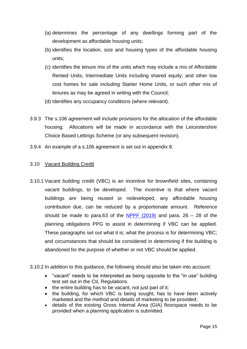- (a) determines the percentage of any dwellings forming part of the development as affordable housing units;
- (b) identifies the location, size and housing types of the affordable housing units;
- (c) identifies the tenure mix of the units which may include a mix of Affordable Rented Units; Intermediate Units including shared equity; and other low cost homes for sale including Starter Home Units, or such other mix of tenures as may be agreed in writing with the Council;
- (d) Identifies any occupancy conditions (where relevant).
- 3.9.3 The s.106 agreement will include provisions for the allocation of the affordable housing. Allocations will be made in accordance with the Leicestershire Choice Based Lettings Scheme (or any subsequent revision).
- 3.9.4 An example of a s.106 agreement is set out in appendix 8.

#### 3.10 Vacant Building Credit

- 3.10.1 Vacant building credit (VBC) is an incentive for brownfield sites, containing vacant buildings, to be developed. The incentive is that where vacant buildings are being reused or redeveloped, any affordable housing contribution due, can be reduced by a proportionate amount. Reference should be made to para.63 of the NPPF  $(2019)$  and para. 26 – 28 of the planning obligations PPG to assist in determining if VBC can be applied. These paragraphs set out what it is; what the process is for determining VBC; and circumstances that should be considered in determining if the building is abandoned for the purpose of whether or not VBC should be applied.
- 3.10.2 In addition to this guidance, the following should also be taken into account:
	- "vacant" needs to be interpreted as being opposite to the "in use" building test set out in the [CIL Regulations.](http://www.legislation.gov.uk/uksi/2010/948/contents/made)
	- $\bullet$  the entire building has to be vacant, not just part of it;
	- the building, for which VBC is being sought, has to have been actively marketed and the method and details of marketing to be provided;
	- details of the existing Gross Internal Area (GIA) floorspace needs to be provided when a planning application is submitted.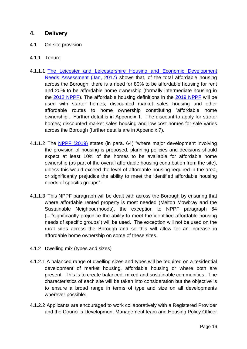# **4. Delivery**

#### 4.1 On site provision

#### 4.1.1 Tenure

- [4.1.1.1 The Leicester and Leicestershire Housing and Economic Development](https://docs.wixstatic.com/ugd/d246bd_fcf0b00c54f8428a919577e9042f3e8a.pdf)  [Needs Assessment \(Jan, 2017\)](https://docs.wixstatic.com/ugd/d246bd_fcf0b00c54f8428a919577e9042f3e8a.pdf) shows that, of the total affordable housing across the Borough, there is a need for 80% to be affordable housing for rent and 20% to be affordable home ownership (formally intermediate housing in the [2012 NPPF\)](https://webarchive.nationalarchives.gov.uk/20180608095821/https:/www.gov.uk/government/publications/national-planning-policy-framework--2). The affordable housing definitions in the [2019 NPPF](https://assets.publishing.service.gov.uk/government/uploads/system/uploads/attachment_data/file/807247/NPPF_Feb_2019_revised.pdf) will be used with starter homes; discounted market sales housing and other affordable routes to home ownership constituting 'affordable home ownership'. Further detail is in Appendix 1. The discount to apply for starter homes; discounted market sales housing and low cost homes for sale varies across the Borough (further details are in Appendix 7).
- 4.1.1.2 The [NPPF \(2019\)](https://assets.publishing.service.gov.uk/government/uploads/system/uploads/attachment_data/file/807247/NPPF_Feb_2019_revised.pdf) states (in para. 64) "where major development involving the provision of housing is proposed, planning policies and decisions should expect at least 10% of the homes to be available for affordable home ownership (as part of the overall affordable housing contribution from the site), unless this would exceed the level of affordable housing required in the area, or significantly prejudice the ability to meet the identified affordable housing needs of specific groups".
- 4.1.1.3 This NPPF paragraph will be dealt with across the Borough by ensuring that where affordable rented property is most needed (Melton Mowbray and the Sustainable Neighbourhoods), the exception to NPPF paragraph 64 (…"significantly prejudice the ability to meet the identified affordable housing needs of specific groups") will be used. The exception will not be used on the rural sites across the Borough and so this will allow for an increase in affordable home ownership on some of these sites.

#### 4.1.2 Dwelling mix (types and sizes)

- 4.1.2.1 A balanced range of dwelling sizes and types will be required on a residential development of market housing, affordable housing or where both are present. This is to create balanced, mixed and sustainable communities. The characteristics of each site will be taken into consideration but the objective is to ensure a broad range in terms of type and size on all developments wherever possible.
- 4.1.2.2 Applicants are encouraged to work collaboratively with a Registered Provider and the Council's Development Management team and Housing Policy Officer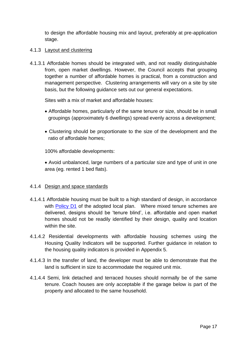to design the affordable housing mix and layout, preferably at pre-application stage.

#### 4.1.3 Layout and clustering

4.1.3.1 Affordable homes should be integrated with, and not readily distinguishable from, open market dwellings. However, the Council accepts that grouping together a number of affordable homes is practical, from a construction and management perspective. Clustering arrangements will vary on a site by site basis, but the following guidance sets out our general expectations.

Sites with a mix of market and affordable houses:

- Affordable homes, particularly of the same tenure or size, should be in small groupings (approximately 6 dwellings) spread evenly across a development;
- Clustering should be proportionate to the size of the development and the ratio of affordable homes;

100% affordable developments:

 Avoid unbalanced, large numbers of a particular size and type of unit in one area (eg. rented 1 bed flats).

#### 4.1.4 Design and space standards

- 4.1.4.1 Affordable housing must be built to a high standard of design, in accordance with [Policy D1](https://www.meltonplan.co.uk/d1) of the adopted local plan. Where mixed tenure schemes are delivered, designs should be 'tenure blind', i.e. affordable and open market homes should not be readily identified by their design, quality and location within the site.
- 4.1.4.2 Residential developments with affordable housing schemes using the Housing Quality Indicators will be supported. Further guidance in relation to the housing quality indicators is provided in Appendix 5.
- 4.1.4.3 In the transfer of land, the developer must be able to demonstrate that the land is sufficient in size to accommodate the required unit mix.
- 4.1.4.4 Semi, link detached and terraced houses should normally be of the same tenure. Coach houses are only acceptable if the garage below is part of the property and allocated to the same household.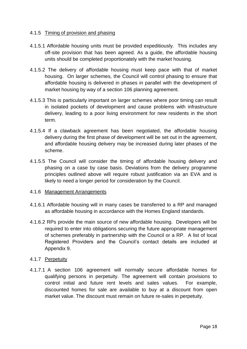#### 4.1.5 Timing of provision and phasing

- 4.1.5.1 Affordable housing units must be provided expeditiously. This includes any off-site provision that has been agreed. As a guide, the affordable housing units should be completed proportionately with the market housing.
- 4.1.5.2 The delivery of affordable housing must keep pace with that of market housing. On larger schemes, the Council will control phasing to ensure that affordable housing is delivered in phases in parallel with the development of market housing by way of a section 106 planning agreement.
- 4.1.5.3 This is particularly important on larger schemes where poor timing can result in isolated pockets of development and cause problems with infrastructure delivery, leading to a poor living environment for new residents in the short term.
- 4.1.5.4 If a clawback agreement has been negotiated, the affordable housing delivery during the first phase of development will be set out in the agreement, and affordable housing delivery may be increased during later phases of the scheme.
- 4.1.5.5 The Council will consider the timing of affordable housing delivery and phasing on a case by case basis. Deviations from the delivery programme principles outlined above will require robust justification via an EVA and is likely to need a longer period for consideration by the Council.

#### 4.1.6 Management Arrangements

- 4.1.6.1 Affordable housing will in many cases be transferred to a RP and managed as affordable housing in accordance with the Homes England standards.
- 4.1.6.2 RPs provide the main source of new affordable housing. Developers will be required to enter into obligations securing the future appropriate management of schemes preferably in partnership with the Council or a RP. A list of local Registered Providers and the Council's contact details are included at Appendix 9.

#### 4.1.7 Perpetuity

4.1.7.1 A section 106 agreement will normally secure affordable homes for qualifying persons in perpetuity. The agreement will contain provisions to control initial and future rent levels and sales values. For example, discounted homes for sale are available to buy at a discount from open market value. The discount must remain on future re-sales in perpetuity.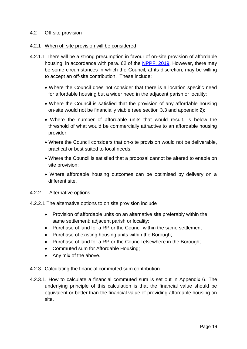#### 4.2 Off site provision

#### 4.2.1 When off site provision will be considered

- 4.2.1.1 There will be a strong presumption in favour of on-site provision of affordable housing, in accordance with para. 62 of the [NPPF, 2019.](https://assets.publishing.service.gov.uk/government/uploads/system/uploads/attachment_data/file/807247/NPPF_Feb_2019_revised.pdf) However, there may be some circumstances in which the Council, at its discretion, may be willing to accept an off-site contribution. These include:
	- Where the Council does not consider that there is a location specific need for affordable housing but a wider need in the adjacent parish or locality;
	- Where the Council is satisfied that the provision of any affordable housing on-site would not be financially viable (see section 3.3 and appendix 2);
	- Where the number of affordable units that would result, is below the threshold of what would be commercially attractive to an affordable housing provider;
	- Where the Council considers that on-site provision would not be deliverable, practical or best suited to local needs;
	- Where the Council is satisfied that a proposal cannot be altered to enable on site provision;
	- Where affordable housing outcomes can be optimised by delivery on a different site.

#### 4.2.2 Alternative options

- 4.2.2.1 The alternative options to on site provision include
	- Provision of affordable units on an alternative site preferably within the same settlement; adjacent parish or locality;
	- Purchase of land for a RP or the Council within the same settlement :
	- Purchase of existing housing units within the Borough;
	- Purchase of land for a RP or the Council elsewhere in the Borough;
	- Commuted sum for Affordable Housing;
	- Any mix of the above.

#### 4.2.3 Calculating the financial commuted sum contribution

4.2.3.1. How to calculate a financial commuted sum is set out in Appendix 6. The underlying principle of this calculation is that the financial value should be equivalent or better than the financial value of providing affordable housing on site.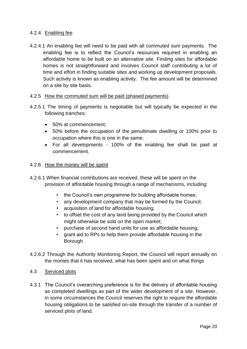#### 4.2.4 Enabling fee

4.2.4.1 An enabling fee will need to be paid with all commuted sum payments. The enabling fee is to reflect the Council's resources required in enabling an affordable home to be built on an alternative site. Finding sites for affordable homes is not straightforward and involves Council staff contributing a lot of time and effort in finding suitable sites and working up development proposals. Such activity is known as enabling activity. The fee amount will be determined on a site by site basis.

#### 4.2.5 How the commuted sum will be paid (phased payments)

- 4.2.5.1 The timing of payments is negotiable but will typically be expected in the following tranches:
	- 50% at commencement:
	- 50% before the occupation of the penultimate dwelling or 100% prior to occupation where this is one in the same;
	- For all developments 100% of the enabling fee shall be paid at commencement.

#### 4.2.6 How the money will be spent

- 4.2.6.1 When financial contributions are received, these will be spent on the provision of affordable housing through a range of mechanisms, including:
	- the Council's own programme for building affordable homes;
	- any development company that may be formed by the Council;
	- acquisition of land for affordable housing;
	- to offset the cost of any land being provided by the Council which might otherwise be sold on the open market;
	- purchase of second hand units for use as affordable housing;
	- grant aid to RPs to help them provide affordable housing in the Borough.
- 4.2.6.2 Through the Authority Monitoring Report, the Council will report annually on the monies that it has received, what has been spent and on what things

#### 4.3 Serviced plots

4.3.1 The Council's overarching preference is for the delivery of affordable housing as completed dwellings as part of the wider development of a site. However, in some circumstances the Council reserves the right to require the affordable housing obligations to be satisfied on-site through the transfer of a number of serviced plots of land.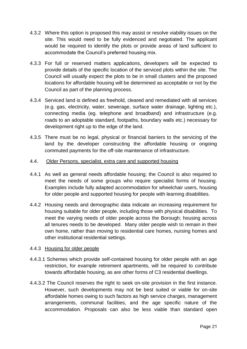- 4.3.2 Where this option is proposed this may assist or resolve viability issues on the site. This would need to be fully evidenced and negotiated. The applicant would be required to identify the plots or provide areas of land sufficient to accommodate the Council's preferred housing mix.
- 4.3.3 For full or reserved matters applications, developers will be expected to provide details of the specific location of the serviced plots within the site. The Council will usually expect the plots to be in small clusters and the proposed locations for affordable housing will be determined as acceptable or not by the Council as part of the planning process.
- 4.3.4 Serviced land is defined as freehold, cleared and remediated with all services (e.g. gas, electricity, water, sewerage, surface water drainage, lighting etc.), connecting media (eg. telephone and broadband) and infrastructure (e.g. roads to an adoptable standard, footpaths, boundary walls etc.) necessary for development right up to the edge of the land.
- 4.3.5 There must be no legal, physical or financial barriers to the servicing of the land by the developer constructing the affordable housing or ongoing commuted payments for the off-site maintenance of infrastructure.

#### 4.4. Older Persons, specialist, extra care and supported housing

- 4.4.1 As well as general needs affordable housing; the Council is also required to meet the needs of some groups who require specialist forms of housing. Examples include fully adapted accommodation for wheelchair users, housing for older people and supported housing for people with learning disabilities.
- 4.4.2 Housing needs and demographic data indicate an increasing requirement for housing suitable for older people, including those with physical disabilities. To meet the varying needs of older people across the Borough; housing across all tenures needs to be developed. Many older people wish to remain in their own home, rather than moving to residential care homes, nursing homes and other institutional residential settings.

#### 4.4.3 Housing for older people

- 4.4.3.1 Schemes which provide self-contained housing for older people with an age restriction, for example retirement apartments, will be required to contribute towards affordable housing, as are other forms of C3 residential dwellings.
- 4.4.3.2 The Council reserves the right to seek on-site provision in the first instance. However, such developments may not be best suited or viable for on-site affordable homes owing to such factors as high service charges, management arrangements, communal facilities, and the age specific nature of the accommodation. Proposals can also be less viable than standard open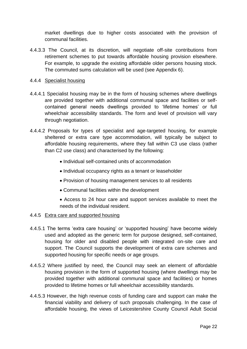market dwellings due to higher costs associated with the provision of communal facilities.

4.4.3.3 The Council, at its discretion, will negotiate off-site contributions from retirement schemes to put towards affordable housing provision elsewhere. For example, to upgrade the existing affordable older persons housing stock. The commuted sums calculation will be used (see Appendix 6).

#### 4.4.4 Specialist housing

- 4.4.4.1 Specialist housing may be in the form of housing schemes where dwellings are provided together with additional communal space and facilities or selfcontained general needs dwellings provided to 'lifetime homes' or full wheelchair accessibility standards. The form and level of provision will vary through negotiation.
- 4.4.4.2 Proposals for types of specialist and age-targeted housing, for example sheltered or extra care type accommodation, will typically be subject to affordable housing requirements, where they fall within C3 use class (rather than C2 use class) and characterised by the following:
	- Individual self-contained units of accommodation
	- Individual occupancy rights as a tenant or leaseholder
	- Provision of housing management services to all residents
	- Communal facilities within the development
	- Access to 24 hour care and support services available to meet the needs of the individual resident.
- 4.4.5 Extra care and supported housing
- 4.4.5.1 The terms 'extra care housing' or 'supported housing' have become widely used and adopted as the generic term for purpose designed, self-contained, housing for older and disabled people with integrated on-site care and support. The Council supports the development of extra care schemes and supported housing for specific needs or age groups.
- 4.4.5.2 Where justified by need, the Council may seek an element of affordable housing provision in the form of supported housing (where dwellings may be provided together with additional communal space and facilities) or homes provided to lifetime homes or full wheelchair accessibility standards.
- 4.4.5.3 However, the high revenue costs of funding care and support can make the financial viability and delivery of such proposals challenging. In the case of affordable housing, the views of Leicestershire County Council Adult Social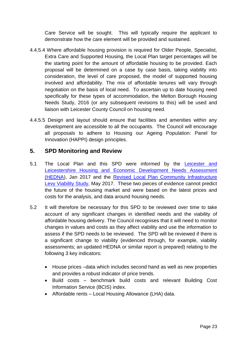Care Service will be sought. This will typically require the applicant to demonstrate how the care element will be provided and sustained.

- 4.4.5.4 Where affordable housing provision is required for Older People, Specialist, Extra Care and Supported Housing, the Local Plan target percentages will be the starting point for the amount of affordable housing to be provided. Each proposal will be determined on a case by case basis, taking viability into consideration, the level of care proposed, the model of supported housing involved and affordability. The mix of affordable tenures will vary through negotiation on the basis of local need. To ascertain up to date housing need specifically for these types of accommodation, the Melton Borough Housing Needs Study, 2016 (or any subsequent revisions to this) will be used and liaison with Leicester County Council on housing need.
- 4.4.5.5 Design and layout should ensure that facilities and amenities within any development are accessible to all the occupants. The Council will encourage all proposals to adhere to Housing our Ageing Population: Panel for Innovation (HAPPI) design principles.

# **5. SPD Monitoring and Review**

- 5.1 The Local Plan and this SPD were informed by the [Leicester and](https://docs.wixstatic.com/ugd/d246bd_fcf0b00c54f8428a919577e9042f3e8a.pdf) [Leicestershire Housing and Economic Development Needs Assessment](https://docs.wixstatic.com/ugd/d246bd_fcf0b00c54f8428a919577e9042f3e8a.pdf) [\(HEDNA\)](https://docs.wixstatic.com/ugd/d246bd_fcf0b00c54f8428a919577e9042f3e8a.pdf), Jan 2017 and the [Revised Local Plan Community Infrastructure](https://docs.wixstatic.com/ugd/d246bd_e40b14c357644f1b8a7887577953b2a2.pdf) [Levy Viability Study,](https://docs.wixstatic.com/ugd/d246bd_e40b14c357644f1b8a7887577953b2a2.pdf) May 2017. These two pieces of evidence cannot predict the future of the housing market and were based on the latest prices and costs for the analysis, and data around housing needs.
- 5.2 It will therefore be necessary for this SPD to be reviewed over time to take account of any significant changes in identified needs and the viability of affordable housing delivery. The Council recognises that it will need to monitor changes in values and costs as they affect viability and use the information to assess if the SPD needs to be reviewed. The SPD will be reviewed if there is a significant change to viability (evidenced through, for example, viability assessments; an updated HEDNA or similar report is prepared) relating to the following 3 key indicators:
	- House prices –data which includes second hand as well as new properties and provides a robust indicator of price trends.
	- Build costs benchmark build costs and relevant Building Cost Information Service (BCIS) index.
	- Affordable rents Local Housing Allowance (LHA) data.